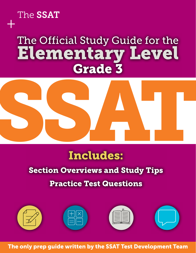# The Official Study Guide for the Elementary Level Grade 3

+

The SSAT



## Includes:

### Section Overviews and Study Tips

### Practice Test Questions



The only prep guide written by the SSAT Test Development Team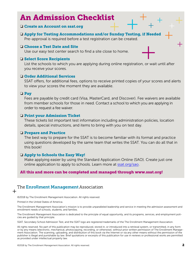### An Admission Checklist

#### ❏ Create an Account on ssat.org

❏ Apply for Testing Accommodations and/or Sunday Testing, if Needed Pre-approval is required before a test registration can be created.

#### ❏ Choose a Test Date and Site

Use our easy test center search to find a site close to home.

#### ❏ Select Score Recipients

List the schools to which you are applying during online registration, or wait until after you receive your scores.

#### ❏ Order Additional Services

SSAT offers, for additional fees, options to receive printed copies of your scores and alerts to view your scores the moment they are available.

#### ❏ Pay

Fees are payable by credit card (Visa, MasterCard, and Discover). Fee waivers are available from member schools for those in need. Contact a school to which you are applying in order to request a fee waiver.

#### ❏ Print your Admission Ticket

These tickets list important test information including administration policies, location details, special instructions, and items to bring with you on test day.

#### ❏ Prepare and Practice

The best way to prepare for the SSAT is to become familiar with its format and practice using questions developed by the same team that writes the SSAT. You can do all that in this book!

#### ❏ Apply to Schools the Easy Way!

Make applying easier by using the Standard Application Online (SAO). Create just one online application to apply to schools. Learn more at [ssat.org/sao](http://ssat.org/sao).

#### All this and more can be completed and managed through www.ssat.org!

### The **Enrollment Management** Association

©2018 by The Enrollment Management Association. All rights reserved.

Printed in the United States of America.

 $\bm{+}$ 

The Enrollment Management Association's mission is to provide unparalleled leadership and service in meeting the admission assessment and enrollment needs of schools, students, and families.

The Enrollment Management Association is dedicated to the principle of equal opportunity, and its programs, services, and employment policies are guided by that principle.

SSAT, Secondary School Admission Test, and the SSAT logo are registered trademarks of the The Enrollment Management Association.

All rights reserved. No part of this publication may be reproduced, stored in, or introduced into a retrieval system, or transmitted, in any form or by any means (electronic, mechanical, photocopying, recording, or otherwise), without prior written permission of The Enrollment Management Association. The scanning, uploading, and distribution of this book via the Internet or via any other means without the permission of the publisher is illegal and punishable by law. Brief quotations or excerpts of this publication for use in reviews or professional works are permitted as provided under intellectual property law.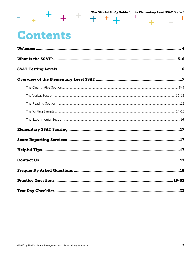

| <b>The Official Study Guide for the Elementary Level SSAT</b> Grade 3 |
|-----------------------------------------------------------------------|
|-----------------------------------------------------------------------|

# **Contents**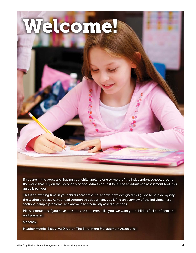

If you are in the process of having your child apply to one or more of the independent schools around the world that rely on the Secondary School Admission Test (SSAT) as an admission assessment tool, this guide is for you.

This is an exciting time in your child's academic life, and we have designed this guide to help demystify the testing process. As you read through this document, you'll find an overview of the individual test sections, sample problems, and answers to frequently asked questions.

Please contact us if you have questions or concerns—like you, we want your child to feel confident and well prepared.

Sincerely,

Heather Hoerle, Executive Director, The Enrollment Management Association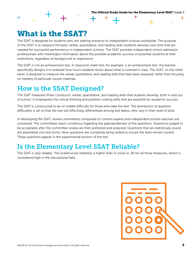

### What is the SSAT?

The SSAT is designed for students who are seeking entrance to independent schools worldwide. The purpose of the SSAT is to measure the basic verbal, quantitative, and reading skills students develop over time that are needed for successful performance in independent schools. The SSAT provides independent school admission professionals with meaningful information about the possible academic success of potential students at their institutions, regardless of background or experience.

The SSAT is not an achievement test. A classroom math test, for example, is an achievement test: the teacher specifically designs it to evaluate how much students know about what is covered in class. The SSAT, on the other hand, is designed to measure the verbal, quantitative, and reading skills that have been acquired, rather than focusing on mastery of particular course materials.

### How is the SSAT Designed?

The SSAT measures three constructs: verbal, quantitative, and reading skills that students develop, both in and out of school. It emphasizes the critical thinking and problem-solving skills that are essential for academic success.

The SSAT is constructed to be of middle difficulty for those who take the test. The distribution of question difficulties is set so that the test will effectively differentiate among test takers, who vary in their level of skills.

In developing the SSAT, review committees composed of content experts and independent school teachers are convened. The committees reach consensus regarding the appropriateness of the questions. Questions judged to be acceptable after the committee review are then pretested and analyzed. Questions that are statistically sound are assembled into test forms. New questions are constantly being tested to ensure the tests remain current. These questions appear in the experimental section of the test.

### Is the Elementary Level SSAT Reliable?

The SSAT is very reliable. The scaled score reliability is higher than or close to .85 for all three measures, which is considered high in the educational field.

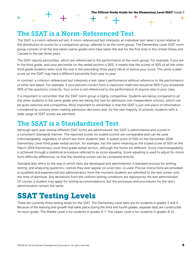

### The SSAT is a Norm-Referenced Test

The SSAT is a *norm-referenced* test. A norm-referenced test interprets an individual test-taker's score relative to the distribution of scores for a comparison group, referred to as the *norm group.* The Elementary Level SSAT norm group consists of all the test takers (same grade) who have taken the test for the first time in the United States and Canada in the last three years.

The SSAT reports percentiles, which are referenced to the performance of the norm group. For example, if you are in the third grade, and your percentile on the verbal section is 90%, it means that the scores of 90% of all the other third grade students (who took the test in the preceding three years) fall at or below your score. The same scaled score on the SSAT may have a different percentile from year to year.

In contrast, a *criterion-referenced* test interprets a test-taker's performance without reference to the performance of other test takers. For example, if your percent correct from a classroom math test would be 90% if you answered 90% of the questions correctly. Your score is not referenced to the performance of anyone else in your class.

It is important to remember that the SSAT norm group is highly competitive. Students are being compared to all the other students in the same grade who are taking this test for admission into independent schools, which can be quite selective and competitive. Most important to remember is that the SSAT is just one piece of information considered by schools when making admission decisions and, for the vast majority of schools, students with a wide range of SSAT scores are admitted.

### The SSAT is a Standardized Test

Although each year several different SSAT forms are administered, the SSAT is administered and scored in a consistent (standard) manner. The reported scores (or *scaled scores*) are comparable and can be used interchangeably, regardless of which test form students take. A scaled score of 500 on the December 2018 Elementary Level third grade verbal section, for example, has the same meaning as the scaled score of 500 on the March 2019 Elementary Level third grade verbal section, although the forms are different. Score interchangeability is achieved through a statistical procedure referred to as *score equating*. Score equating is used to adjust for minor form difficulty differences, so that the resulting scores can be compared directly.

Standard also refers to the way in which tests are developed and administered. A standard process for writing, testing, and analyzing questions—before they ever appear on a live test—is used. Precise instructions are provided to qualified and experienced test administrators from the moment students are admitted to the test center until the time of dismissal. Any deviations from the uniform testing conditions are reported by the test administrator. Of course, a student may apply for testing accommodations, but the processes and procedures for the test's administration remain the same.

### SSAT Testing Levels

There are currently three testing levels for the SSAT. The Elementary Level tests are for students in grades 3 and 4. Because of the learning and growth that takes place during the third and fourth grades, separate tests are constructed for each grade. The Middle Level is for students in grades 5-7. The Upper Level is for students in grades 8-11.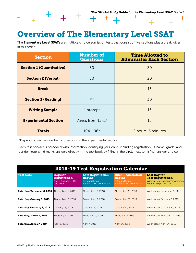

 $\mathrm{+}$ 

### Overview of The Elementary Level SSAT

The **Elementary Level SSATs** are multiple-choice admission tests that consist of five sections plus a break, given in this order:

| <b>Section</b>                                   | <b>Number of</b><br><b>Questions</b> | <b>Time Allotted to</b><br><b>Administer Each Section</b> |
|--------------------------------------------------|--------------------------------------|-----------------------------------------------------------|
| <b>Section 1 (Quantitative)</b>                  | 30                                   | 30                                                        |
| <b>Section 2 (Verbal)</b>                        | 30                                   | 20                                                        |
| <b>Break</b>                                     |                                      | 15                                                        |
| <b>Section 3 (Reading)</b>                       | 28                                   | 30                                                        |
| <b>Writing Sample</b>                            | 1 prompt                             | 15                                                        |
| Varies from 15-17<br><b>Experimental Section</b> |                                      | 15                                                        |
| <b>Totals</b>                                    | $104 - 106*$                         | 2 hours, 5 minutes                                        |

\*Depending on the number of questions in the experimental section

 $\pm$ 

Each test booklet is barcoded with information identifying your child, including registration ID, name, grade, and gender. Your child marks answers directly in the test book by filling in the circle next to his/her answer choice.

| <b>2018-19 Test Registration Calendar</b>      |                                                                             |                                                                                           |                                                                                           |                                                                                                                   |
|------------------------------------------------|-----------------------------------------------------------------------------|-------------------------------------------------------------------------------------------|-------------------------------------------------------------------------------------------|-------------------------------------------------------------------------------------------------------------------|
| <b>Test Date</b>                               | <b>Reqular</b><br><b>Registration</b><br>Starts August 1, 2018<br>and ends: | <b>Late Registration</b><br><b>Begins</b><br>(\$45 additional)<br>Begins 12:00 am EST on: | <b>Rush Registration</b><br><b>Begins</b><br>(\$85 additional)<br>Begins 12:00 am EST on: | <b>Last Day for</b><br><b>Test Registration</b><br><b>Without Testing Accommodations</b><br>Ends 11:59 pm EST on: |
| Saturday, December 8, 2018   November 17, 2018 |                                                                             | November 18, 2018                                                                         | November 25, 2018                                                                         | Wednesday, December 5, 2018                                                                                       |
| Saturday, January 5, 2019                      | December 15, 2018                                                           | December 16, 2018                                                                         | December 23, 2018                                                                         | Wednesday, January 2, 2019                                                                                        |
| Saturday, February 2, 2019                     | January 12, 2019                                                            | January 13, 2019                                                                          | January 20, 2019                                                                          | Wednesday, January 30, 2019                                                                                       |
| Saturday, March 2, 2019                        | February 9, 2019                                                            | February 10, 2019                                                                         | <b>February 17, 2019</b>                                                                  | Wednesday, February 27, 2019                                                                                      |
| Saturday, April 27, 2019                       | April 6, 2019                                                               | April 7, 2019                                                                             | April 14, 2019                                                                            | Wednesday, April 24, 2019                                                                                         |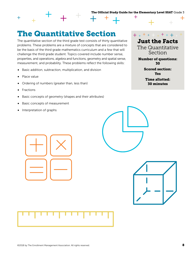#### The Official Study Guide for the Elementary Level SSAT Grade 3  $\pm$  $+$

### The Quantitative Section

The quantitative section of the third grade test consists of thirty quantitative problems. These problems are a mixture of concepts that are considered to be the basis of the third grade mathematics curriculum and a few that will challenge the third grade student. Topics covered include number sense, properties, and operations, algebra and functions, geometry and spatial sense, measurement, and probability. These problems reflect the following skills:

- Basic addition, subtraction, multiplication, and division
- Place value
- Ordering of numbers (greater than, less than)
- • Fractions
- Basic concepts of geometry (shapes and their attributes)
- • Basic concepts of measurement
- Interpretation of graphs





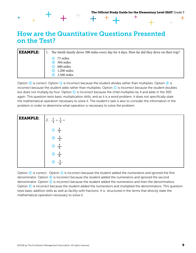

### How are the Quantitative Questions Presented on the Test?

| EXAMPLE: | 1. The Smith family drove 300 miles every day for 4 days. How far did they drive on their trip? |
|----------|-------------------------------------------------------------------------------------------------|
|          | 75 miles<br>(A)<br>304 miles<br>®                                                               |
|          | $\odot$ 600 miles                                                                               |
|          | $1,200$ miles<br>(D)                                                                            |
|          | $1,500$ miles<br>Œ)                                                                             |

Option  $\odot$  is correct. Option  $\odot$  is incorrect because the student divides rather than multiplies. Option  $\odot$  is incorrect because the student adds rather than multiplies. Option  $\odot$  is incorrect because the student doubles but does not multiply by four. Option  $\bigcirc$  is incorrect because the child multiplies by 4 and adds in the 300 again. This question tests basic multiplication skills, and as it is a word problem, it does not specifically state the mathematical operation necessary to solve it. The student's task is also to consider the information in the problem in order to determine what operation is necessary to solve the problem.

| <b>EXAMPLE:</b> | 2. $\frac{1}{4} + \frac{1}{2} =$ |
|-----------------|----------------------------------|
|                 | $\bigcirc$ $\frac{2}{2}$         |
|                 | $\circled{8}$ $\frac{2}{4}$      |
|                 | $\circledcirc \frac{3}{4}$       |
|                 | $\circledcirc$ $\frac{2}{6}$     |
|                 | $\frac{2}{8}$<br>$\circledast$   |

Option  $\odot$  is correct. Option  $\odot$  is incorrect because the student added the numerators and ignored the first denominator. Option  $\circledast$  is incorrect because the student added the numerators and ignored the second denominator. Option  $\odot$  is incorrect because the student added the numerators and then the denominators. Option  $\bigoplus$  is incorrect because the student added the numerators and multiplied the denominators. This question tests basic addition skills as well as facility with fractions. It is structured in the terms that directly state the mathematical operation necessary to solve it.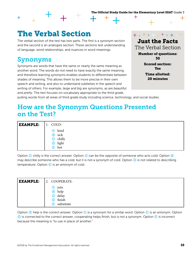### The Official Study Guide for the Elementary Level SSAT Grade 3

### The Verbal Section

The verbal section of the test has two parts. The first is a synonym section and the second is an analogies section. These sections test understanding of language, word relationships, and nuances in word meanings.

### Synonyms

Synonyms are words that have the same or nearly the same meaning as another word. The words do not need to have exactly the same meaning, and therefore learning synonyms enables students to differentiate between shades of meaning. This allows them to be more precise in their own speech and writing, and also to understand subtleties in the speech and writing of others. For example, *large* and *big* are synonyms, as are *beautiful* and *pretty*. The test focuses on vocabulary appropriate to the third grade,



Time allotted: 20 minutes

pulling words from all areas of third grade study including science, technology, and social studies.

### How are the Synonym Questions Presented on the Test?

| <b>EXAMPLE:</b> | 1. COLD:                                                                                            |
|-----------------|-----------------------------------------------------------------------------------------------------|
|                 | kind<br>$\circledA$<br>sick<br>◉<br>chilly<br>light<br>$\circledcirc$<br>$\circledcirc$<br>hot<br>⊕ |

Option  $\odot$  chilly is the correct answer. Option  $\odot$  can be the opposite of someone who acts cold. Option  $\odot$ may describe someone who has a cold, but it is not a synonym of cold. Option  $\circledD$  is not related to describing temperature. Option  $\bigoplus$  is an antonym of cold.

| <b>EXAMPLE:</b> | 2. COOPERATE:                                                                                          |
|-----------------|--------------------------------------------------------------------------------------------------------|
|                 | join<br>$^\circledR$<br>help<br>$\circledB$<br>© delay<br>finish<br>$^\copyright$<br>substitute<br>(E) |

Option  $\circledR$  help is the correct answer. Option  $\circledA$  is a synonym for a similar word. Option  $\circledR$  is an antonym. Option  $\circled{0}$  is connected to the correct answer, cooperating helps finish, but is not a synonym. Option  $\circled{E}$  is incorrect because the meaning is "to use in place of another."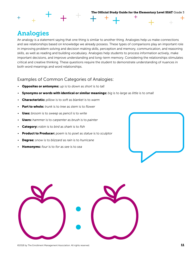

### Analogies

An analogy is a statement saying that one thing is similar to another thing. Analogies help us make connections and see relationships based on knowledge we already possess. These types of comparisons play an important role in improving problem solving and decision making skills, perception and memory, communication, and reasoning skills, as well as reading and building vocabulary. Analogies help students to process information actively, make important decisions, and improve understanding and long-term memory. Considering the relationships stimulates critical and creative thinking. These questions require the student to demonstrate understanding of nuances in both word meanings and word relationships.

#### Examples of Common Categories of Analogies:

- Opposites or antonyms: *up* is to *down* as *short* is to *tall*
- Synonyms or words with identical or similar meanings: *big* is to *large* as *little* is to *small*
- Characteristic: *pillow* is to *soft* as *blanket* is to *warm*
- Part to whole: *trunk* is to *tree* as *stem* is to *flower*
- **Uses:** *broom* is to *sweep* as *pencil* is to *write*
- **Users:** hammer is to carpenter as brush is to painter
- Category: *robin* is to *bird* as *shark* is to *fish*
- **Product to Producer:** poem is to poet as statue is to sculptor
- **Degree:** snow is to blizzard as rain is to hurricane
- Homonyms: *four* is to *for* as *see* is to *sea*



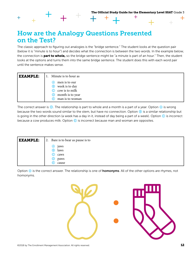

### How are the Analogy Questions Presented on the Test?

The classic approach to figuring out analogies is the "bridge sentence." The student looks at the question pair (below it is "minute is to hour") and decides what the connection is between the two words. In the example below, the connection is **part to whole,** so the bridge sentence might be "a minute is part of an hour." Then, the student looks at the options and turns them into the same bridge sentence. The student does this with each word pair until the sentence makes sense.

| <b>EXAMPLE:</b> | Minute is to hour as                                                                                                  |
|-----------------|-----------------------------------------------------------------------------------------------------------------------|
|                 | men is to our<br>(A)<br>week is to day<br>◉<br>cow is to milk<br>©)<br>month is to year<br>℗<br>man is to woman<br>Œ) |

The correct answer is  $\overline{Q}$ . The relationship is part to whole and a month is a part of a year. Option  $\overline{Q}$  is wrong because the two words sound similar to the stem, but have no connection. Option @ is a similar relationship but is going in the other direction (a week has a day in it, instead of day being a part of a week). Option  $\odot$  is incorrect because a cow produces milk. Option  $\bigcirc$  is incorrect because man and woman are opposites.

| <b>EXAMPLE:</b> | 2. Bare is to bear as pause is to                                                   |  |  |
|-----------------|-------------------------------------------------------------------------------------|--|--|
|                 | $^\text{\textregistered}$<br>jaws<br>$\circledB$<br>laws<br>)⊙<br>caws<br>℗<br>paws |  |  |
|                 | ®<br>cause                                                                          |  |  |

Option  $\odot$  is the correct answer. The relationship is one of **homonyms**. All of the other options are rhymes, not homonyms.

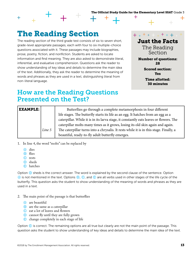

### The Reading Section

The reading section of the third grade test consists of six to seven short, grade-level appropriate passages, each with four to six multiple-choice questions associated with it. These passages may include biographies, prose, poetry, fiction, and nonfiction. Students are asked to locate information and find meaning. They are also asked to demonstrate literal, inferential, and evaluative comprehension. Questions ask the reader to show understanding of key ideas and details to determine the main idea of the text. Additionally, they ask the reader to determine the meaning of words and phrases as they are used in a text, distinguishing literal from non-literal language.



### How are the Reading Questions Presented on the Test?

| EXAMPLE: |        | Butterflies go through a complete metamorphosis in four different                      |
|----------|--------|----------------------------------------------------------------------------------------|
|          |        | life stages. The butterfly starts its life as an egg. It hatches from an egg as a      |
|          |        | caterpillar. While it is in its larva stage, it constantly eats leaves or flowers. The |
|          |        | caterpillar molts many times as it grows, losing its old skin again and again.         |
|          | Line 5 | The caterpillar turns into a chrysalis. It rests while it is in this stage. Finally, a |
|          |        | beautiful, ready-to-fly adult butterfly emerges.                                       |

- 1. In line 4, the word "molts" can be replaced by
	- Ⓐ dies
	- Ⓑ flies
	- Ⓒ rests
	- Ⓓ sheds
	- Ⓔ hatches

Option  $\odot$  sheds is the correct answer. The word is explained by the second clause of the sentence. Option is not mentioned in the text. Options *€*, *<i>€*, and *€* are all verbs used in other stages of the life cycle of the butterfly. This question asks the student to show understanding of the meaning of words and phrases as they are used in a text.

- 2. The main point of the passage is that butterflies
	- Ⓐ are beautiful
	- Ⓑ are the same as a caterpillar
	- Ⓒ eat a lot of leaves and flowers
	- $\odot$  cannot fly until they are fully grown
	- $\bullet$  change completely in each stage of life

Option  $\bigoplus$  is correct. The remaining options are all true but clearly are not the main point of the passage. This question asks the student to show understanding of key ideas and details to determine the main idea of the text.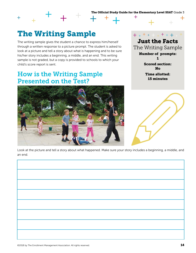### The Official Study Guide for the Elementary Level SSAT Grade 3  $\pm$

### The Writing Sample

 $+$ 

The writing sample gives the student a chance to express him/herself through a written response to a picture prompt. The student is asked to look at a picture and tell a story about what is happening and to be sure his/her story includes a beginning, a middle, and an end. This writing sample is not graded, but a copy is provided to schools to which your child's score report is sent.

### How is the Writing Sample Presented on the Test?



+ + + + + + + + + + + Just the Facts The Writing Sample Number of prompts: 1 Scored section: No Time allotted: 15 minutes

Look at the picture and tell a story about what happened. Make sure your story includes a beginning, a middle, and an end.

| <u> 1989 - Johann Barn, mars ann an t-</u> |  |
|--------------------------------------------|--|
|                                            |  |
|                                            |  |
|                                            |  |
|                                            |  |
|                                            |  |
|                                            |  |
|                                            |  |
|                                            |  |
|                                            |  |
|                                            |  |
|                                            |  |
|                                            |  |
|                                            |  |
|                                            |  |
|                                            |  |
|                                            |  |
|                                            |  |
|                                            |  |
|                                            |  |
|                                            |  |
|                                            |  |
|                                            |  |
|                                            |  |
|                                            |  |
|                                            |  |
|                                            |  |
|                                            |  |
|                                            |  |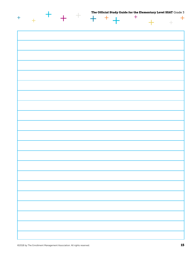|     |   |  |         | The Official Study Guide for the Elementary Level SSAT Grade 3 |             |     |  |           |
|-----|---|--|---------|----------------------------------------------------------------|-------------|-----|--|-----------|
| $+$ |   |  | $\!{+}$ | $+$                                                            | $+$ $\perp$ | $+$ |  | $\, + \,$ |
|     | ┿ |  |         |                                                                |             |     |  |           |
|     |   |  |         |                                                                |             |     |  | $\pm$     |
|     |   |  |         |                                                                |             |     |  |           |
|     |   |  |         |                                                                |             |     |  |           |
|     |   |  |         |                                                                |             |     |  |           |
|     |   |  |         |                                                                |             |     |  |           |
|     |   |  |         |                                                                |             |     |  |           |
|     |   |  |         |                                                                |             |     |  |           |
|     |   |  |         |                                                                |             |     |  |           |
|     |   |  |         |                                                                |             |     |  |           |
|     |   |  |         |                                                                |             |     |  |           |
|     |   |  |         |                                                                |             |     |  |           |
|     |   |  |         |                                                                |             |     |  |           |
|     |   |  |         |                                                                |             |     |  |           |
|     |   |  |         |                                                                |             |     |  |           |
|     |   |  |         |                                                                |             |     |  |           |
|     |   |  |         |                                                                |             |     |  |           |
|     |   |  |         |                                                                |             |     |  |           |
|     |   |  |         |                                                                |             |     |  |           |
|     |   |  |         |                                                                |             |     |  |           |
|     |   |  |         |                                                                |             |     |  |           |
|     |   |  |         |                                                                |             |     |  |           |
|     |   |  |         |                                                                |             |     |  |           |
|     |   |  |         |                                                                |             |     |  |           |
|     |   |  |         |                                                                |             |     |  |           |
|     |   |  |         |                                                                |             |     |  |           |
|     |   |  |         |                                                                |             |     |  |           |
|     |   |  |         |                                                                |             |     |  |           |
|     |   |  |         |                                                                |             |     |  |           |
|     |   |  |         |                                                                |             |     |  |           |
|     |   |  |         |                                                                |             |     |  |           |
|     |   |  |         |                                                                |             |     |  |           |
|     |   |  |         |                                                                |             |     |  |           |
|     |   |  |         |                                                                |             |     |  |           |
|     |   |  |         |                                                                |             |     |  |           |
|     |   |  |         |                                                                |             |     |  |           |
|     |   |  |         |                                                                |             |     |  |           |
|     |   |  |         |                                                                |             |     |  |           |
|     |   |  |         |                                                                |             |     |  |           |
|     |   |  |         |                                                                |             |     |  |           |
|     |   |  |         |                                                                |             |     |  |           |
|     |   |  |         |                                                                |             |     |  |           |
|     |   |  |         |                                                                |             |     |  |           |
|     |   |  |         |                                                                |             |     |  |           |
|     |   |  |         |                                                                |             |     |  |           |
|     |   |  |         |                                                                |             |     |  |           |
|     |   |  |         |                                                                |             |     |  |           |
|     |   |  |         |                                                                |             |     |  |           |
|     |   |  |         |                                                                |             |     |  |           |
|     |   |  |         |                                                                |             |     |  |           |
|     |   |  |         |                                                                |             |     |  |           |
|     |   |  |         |                                                                |             |     |  |           |
|     |   |  |         |                                                                |             |     |  |           |
|     |   |  |         |                                                                |             |     |  |           |
|     |   |  |         |                                                                |             |     |  |           |
|     |   |  |         |                                                                |             |     |  |           |
|     |   |  |         |                                                                |             |     |  |           |
|     |   |  |         |                                                                |             |     |  |           |
|     |   |  |         |                                                                |             |     |  |           |
|     |   |  |         |                                                                |             |     |  |           |
|     |   |  |         |                                                                |             |     |  |           |
|     |   |  |         |                                                                |             |     |  |           |
|     |   |  |         |                                                                |             |     |  |           |
|     |   |  |         |                                                                |             |     |  |           |
|     |   |  |         |                                                                |             |     |  |           |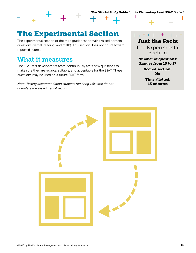

### The Experimental Section

The experimental section of the third grade test contains mixed content questions (verbal, reading, and math). This section does not count toward reported scores.

### What it measures

The SSAT test development team continuously tests new questions to make sure they are reliable, suitable, and acceptable for the SSAT. These questions may be used on a future SSAT form.

*Note: Testing accommodation students requiring 1.5x time do not complete the experimental section.* 



Number of questions: Ranges from 15 to 17

> Scored section: No

Time allotted: 15 minutes

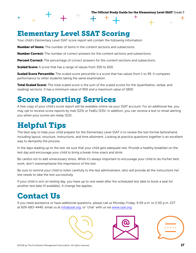

### Elementary Level SSAT Scoring

Your child's Elementary Level SSAT score report will contain the following information:

**Number of Items:** The number of items in the content sections and subsections.

**Number Correct:** The number of correct answers for the content sections and subsections.

**Percent Correct:** The percentage of correct answers for the content sections and subsections.

**Scaled Score:** A score that has a range of values from 300 to 600.

Scaled Score Percentile: The scaled score percentile is a score that has values from 1 to 99. It compares performance to other students taking the same examination.

Total Scaled Score: The total scaled score is the sum of the scaled scores for the (quantitative, verbal, and reading) sections. It has a minimum value of 900 and a maximum value of 1800.

### Score Reporting Services

A free copy of your child's score report will be available online via your SSAT account. For an additional fee, you may opt to receive score reports by mail (\$25) or FedEx (\$35). In addition, you can receive a text or email alerting you when your scores are ready (\$15).

### Helpful Tips

The best way to help your child prepare for the Elementary Level SSAT is to review the test format beforehand, including layout, structure, instructions, and time allotment. Looking at practice questions together is an excellent way to demystify the process.

In the days leading up to the test, be sure that your child gets adequate rest. Provide a healthy breakfast on the test day and encourage your child to bring a break-time snack and drink.

Be careful not to add unnecessary stress. While it's always important to encourage your child to do his/her best work, don't overemphasize the importance of the test.

Be sure to remind your child to listen carefully to the test administrator, who will provide all the instructions he/ she needs to take the test successfully.

If your child is sick on testing day, you have up to one week after the scheduled test date to book a seat for another test date (if available). A change fee applies.

### Contact Us

If you need assistance or have additional questions, please call us Monday-Friday, 9:00 a.m. to 5:00 p.m. EST at 609-683-4440, email us at [info@ssat.org](mailto:info%40ssat.org?subject=), or "chat" with us via [www.ssat.org](http://www.ssat.org).





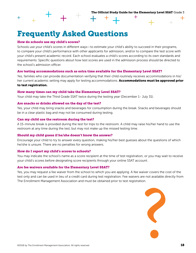### Frequently Asked Questions

#### How do schools use my child's scores?

 $\div$ 

Schools use your child's scores in different ways—to estimate your child's ability to succeed in their programs, to compare your child's performance with other applicants for admission, and/or to compare the test score with your child's present academic record. Each school evaluates a child's scores according to its own standards and requirements. Specific questions about how test scores are used in the admission process should be directed to the school's admission officer.

#### Are testing accommodations such as extra time available for the Elementary Level SSAT?

Yes, families who can provide documentation verifying that their child routinely receives accommodations in his/ her current academic setting may apply for testing accommodations. Accommodations must be approved prior to test registration.

#### How many times can my child take the Elementary Level SSAT?

Your child may take the Third Grade SSAT twice during the testing year (December 1- July 31).

#### Are snacks or drinks allowed on the day of the test?

Yes, your child may bring snacks and beverages for consumption during the break. Snacks and beverages should be in a clear plastic bag and may not be consumed during testing.

#### Can my child use the restroom during the test?

A 15-minute break is provided during the test for trips to the restroom. A child may raise his/her hand to use the restroom at any time during the test, but may not make up the missed testing time.

#### Should my child guess if he/she doesn't know the answer?

Encourage your child to try to answer every question, making his/her best guesses about the questions of which he/she is unsure. There are no penalties for wrong answers.

#### How do I report my child's scores to schools?

You may indicate the school's name as a score recipient at the time of test registration, or you may wait to receive your child's scores before designating score recipients through your online SSAT account.

#### Are fee waivers available for the Elementary Level SSAT?

Yes, you may request a fee waiver from the school to which you are applying. A fee waiver covers the cost of the test only and can be used in lieu of a credit card during test registration. Fee waivers are not available directly from The Enrollment Management Association and must be obtained prior to test registration.

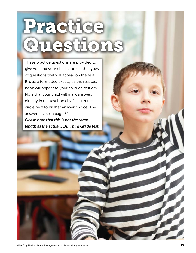# Practice Questions

The Official Study Guide for the Elementary Level SSAT Grade 3

These practice questions are provided to give you and your child a look at the types of questions that will appear on the test. It is also formatted exactly as the real test book will appear to your child on test day. Note that your child will mark answers directly in the test book by filling in the circle next to his/her answer choice. The answer key is on page 32.

*Please note that this is not the same length as the actual SSAT Third Grade test.*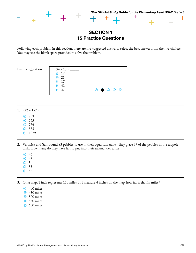

#### **Section 1 15 Practice Questions**

Following each problem in this section, there are five suggested answers. Select the best answer from the five choices. You may use the blank space provided to solve the problem.

Sample Question:

| $34 - 13 =$      |           |
|------------------|-----------|
| A 19             |           |
| <b>B</b> 21      |           |
| C 37             |           |
| $\odot$ 42       |           |
| - 47<br><b>©</b> | 4 0 0 0 E |
|                  |           |

- 1. 922 − 157 =
	- Ⓐ 753
	- Ⓑ 765
	- Ⓒ 776
	- Ⓓ 835
	- Ⓔ 1079
- 2. Veronica and Sam found 83 pebbles to use in their aquarium tanks. They place 37 of the pebbles in the tadpole tank. How many do they have left to put into their salamander tank?
	- Ⓐ 46
	- Ⓑ 47
	- Ⓒ 54
	- Ⓓ 55
	- Ⓔ 56

3. On a map, 1 inch represents 150 miles. If I measure 4 inches on the map, how far is that in miles?

- Ⓐ 400 miles
- Ⓑ 450 miles
- Ⓒ 500 miles
- Ⓓ 550 miles
- $\odot$  600 miles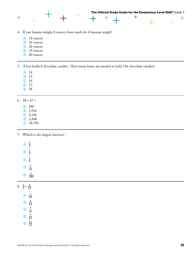

 $\pm$ 

 $\pm$ 

- 4. If one banana weighs 8 ounces, how much do 4 bananas weigh?
	- 4 12 ounces
	- Ⓑ 16 ounces
	- Ⓒ 22 ounces
	- Ⓓ 32 ounces
	- $\odot$  40 ounces

5. A box holds 8 chocolate candies. How many boxes are needed to hold 136 chocolate candies?

- Ⓐ 14
- Ⓑ 15
- Ⓒ 16
- Ⓓ 17
- Ⓔ 18

6.  $58 \times 37 =$ 

- Ⓐ 580
- Ⓑ 1,916
- Ⓒ 2,146
- Ⓓ 3,448
- Ⓔ 18,796

7. Which is the largest fraction?

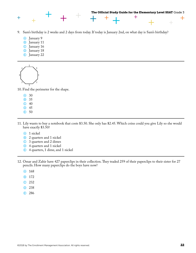

- 9. Sam's birthday is 2 weeks and 2 days from today. If today is January 2nd, on what day is Sam's birthday?
	- Ⓐ January 9
	- Ⓑ January 11
	- Ⓒ January 16
	- Ⓓ January 18
	- Ⓔ January 22



10. Find the perimeter for the shape.

- Ⓐ 30
- Ⓑ 35
- Ⓒ 40
- Ⓓ 45
- $\circledcirc$  50
- 11. Lily wants to buy a notebook that costs \$3.50. She only has \$2.45. Which coins could you give Lily so she would have exactly \$3.50?
	- Ⓐ 1 nickel
	- Ⓑ 2 quarters and 1 nickel
	- Ⓒ 3 quarters and 2 dimes
	- Ⓓ 4 quarters and 1 nickel
	- Ⓔ 4 quarters, 1 dime, and 1 nickel
- 12. Omar and Zahir have 427 paperclips in their collection. They traded 259 of their paperclips to their sister for 27 pencils. How many paperclips do the boys have now?
	- Ⓐ 168
	- Ⓑ 172
	- Ⓒ 232
	- Ⓓ 238
	- Ⓔ 286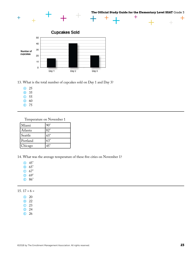

- 13. What is the total number of cupcakes sold on Day 1 and Day 3?
	- Ⓐ 25
	- Ⓑ 35 Ⓒ 55
	- Ⓓ 60
	- Ⓔ 75

Temperature on November 1

| Miami    | $90^\circ$   |
|----------|--------------|
| Atlanta  | $82^{\circ}$ |
| Seattle  | $65^{\circ}$ |
| Portland | $63^\circ$   |
| Chicago  |              |

- 14. What was the average temperature of these five cities on November 1?
	- Ⓐ 45°
	- Ⓑ 65°
	- Ⓒ 67°
	- Ⓓ 69°
	- Ⓔ 86°

15.  $17 + 6 =$ 

- Ⓐ 20
- Ⓑ 22
- Ⓒ 23
- Ⓓ 24
- Ⓔ 26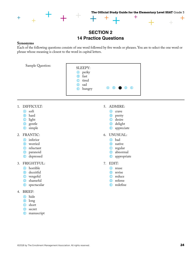

### **Section 2 14 Practice Questions**

#### **Synonyms**

Each of the following questions consists of one word followed by five words or phrases. You are to select the one word or phrase whose meaning is closest to the word in capital letters.



#### 1. DIFFICULT:

- Ⓐ soft
- Ⓑ hard
- Ⓒ light
- Ⓓ gentle
- Ⓔ simple

#### 2. FRANTIC:

- Ⓐ inferior
- Ⓑ worried
- Ⓒ reluctant
- Ⓓ paranoid
- Ⓔ depressed

#### 3. FRIGHTFUL:

- Ⓐ horrible
- Ⓑ deceitful
- Ⓒ vengeful
- Ⓓ shameful
- Ⓔ spectacular
- 4. BRIEF:
	- Ⓐ hide
	- Ⓑ long
	- Ⓒ short
	- Ⓓ secret
	- Ⓔ manuscript

#### 5. ADMIRE:

- Ⓐ crave
- Ⓑ pretty
- Ⓒ desire
- Ⓓ delight
- Ⓔ appreciate
- 6. UNUSUAL:
	- Ⓐ bad
	- Ⓑ native
	- Ⓒ regular
	- Ⓓ abnormal
	- Ⓔ appropriate
- 7. EDIT:
	- Ⓐ reuse
	- Ⓑ revise
	- Ⓒ reduce
	- Ⓓ referee
	- Ⓔ redefine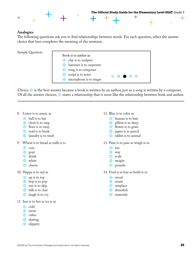

#### **Analogies**

The following questions ask you to find relationships between words. For each question, select the answer choice that best completes the meaning of the sentence.

Sample Question:

| Book is to author as                  |                                                                                                                                                                                                                                                                                                                                                     |
|---------------------------------------|-----------------------------------------------------------------------------------------------------------------------------------------------------------------------------------------------------------------------------------------------------------------------------------------------------------------------------------------------------|
| $\circledA$ clay is to sculptor       |                                                                                                                                                                                                                                                                                                                                                     |
| <b>B</b> hammer is to carpenter       |                                                                                                                                                                                                                                                                                                                                                     |
| © song is to composer                 |                                                                                                                                                                                                                                                                                                                                                     |
| $\bullet$ script is to actor          | $\begin{picture}(150,10) \put(0,0){\line(1,0){10}} \put(15,0){\line(1,0){10}} \put(15,0){\line(1,0){10}} \put(15,0){\line(1,0){10}} \put(15,0){\line(1,0){10}} \put(15,0){\line(1,0){10}} \put(15,0){\line(1,0){10}} \put(15,0){\line(1,0){10}} \put(15,0){\line(1,0){10}} \put(15,0){\line(1,0){10}} \put(15,0){\line(1,0){10}} \put(15,0){\line($ |
| $\circled{e}$ microphone is to singer |                                                                                                                                                                                                                                                                                                                                                     |

Choice  $\odot$  is the best answer because a book is written by an author, just as a song is written by a composer. Of all the answer choices,  $\odot$  states a relationship that is most like the relationship between book and author.

- 8. Listen is to music as
	- Ⓐ ball is to bat
	- Ⓑ choir is to sing
	- Ⓒ floor is to mop
	- Ⓓ read is to book
	- Ⓔ laundry is to wash
- 9. Wheat is to bread as milk is to
	- Ⓐ cow
	- Ⓑ goat
	- Ⓒ drink
	- Ⓓ white
	- Ⓔ cheese
- 10. Happy is to sad as
	- $\Theta$  up is to top
	- Ⓑ hop is to pop
	- Ⓒ run is to skip
	- $\odot$  talk is to chat
	- $\bigcirc$  laugh is to cry
- 11. Sun is to hot as ice is to
	- Ⓐ cold
	- Ⓑ snow
	- Ⓒ cubes
	- Ⓓ skating
	- Ⓔ slippery

#### 12. Blue is to color as

- Ⓐ human is to hair
- Ⓑ pillow is to sleep
- Ⓒ flower is to grass
- Ⓓ paper is to pencil
- $\epsilon$  rabbit is to animal
- 13. Pane is to pain as weigh is to
	- Ⓐ ton
	- Ⓑ way
	- Ⓒ scale
	- Ⓓ weight
	- Ⓔ pounds
- 14. Find is to lose as build is to
	- Ⓐ wood
	- Ⓑ create
	- Ⓒ misplace
	- Ⓓ demolish
	- Ⓔ materials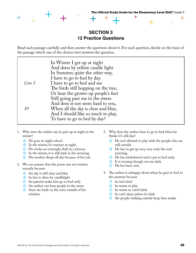

### **Section 3 12 Practice Questions**

Read each passage carefully and then answer the questions about it. For each question, decide on the basis of the passage which one of the choices best answers the question.

|        | In Winter I get up at night<br>And dress by yellow candle light.<br>In Summer, quite the other way,                                                                                                                 |
|--------|---------------------------------------------------------------------------------------------------------------------------------------------------------------------------------------------------------------------|
| Line 5 | I have to go to bed by day.<br>I have to go to bed and see<br>The birds still hopping on the tree,<br>Or hear the grown-up people's feet<br>Still going past me in the street.<br>And does it not seem hard to you, |
| 10     | When all the sky is clear and blue,<br>And I should like so much to play,<br>To have to go to bed by day?                                                                                                           |

- 1. Why does the author say he gets up at night in the winter?
	- $\Theta$  He goes to night school.
	- Ⓑ In the winter, it's warmer at night.
	- Ⓒ He works an overnight shift in a factory.
	- $\bullet$  In the winter, it is still dark in the morning.
	- Ⓔ His mother sleeps all day because of her job.
- 2. We can assume that the poem was not written recently because
	- Ⓐ the sky is still clear and blue
	- Ⓑ he has to dress by candlelight
	- Ⓒ his parents make him go to bed early
	- Ⓓ the author can hear people in the street
	- $\epsilon$  there are birds on the trees outside of his window
- 3. Why does the author have to go to bed when he thinks it's still day?
	- $\Theta$  He isn't allowed to play with the people who are still outside.
	- Ⓑ He has to get up very, very early the next morning.
	- Ⓒ He has misbehaved and is put to bed early.
	- Ⓓ It is evening though not yet dark.
	- $\bullet$  He has been sick.
- 4. The author is unhappy about when he goes to bed in the summer because
	- Ⓐ he isn't tired
	- Ⓑ he wants to play
	- Ⓒ he wants to catch birds
	- Ⓓ he can't sleep unless it's dark
	- Ⓔ the people walking outside keep him awake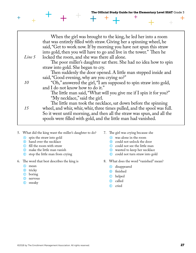|           | The Official Study Guide for the Elementary Level SSAT Grade 3                                                                                                                                                                                                                     |
|-----------|------------------------------------------------------------------------------------------------------------------------------------------------------------------------------------------------------------------------------------------------------------------------------------|
|           |                                                                                                                                                                                                                                                                                    |
|           | When the girl was brought to the king, he led her into a room<br>that was entirely filled with straw. Giving her a spinning wheel, he<br>said, "Get to work now. If by morning you have not spun this straw<br>into gold, then you will have to go and live in the tower." Then he |
| Line 5    | locked the room, and she was there all alone.<br>The poor miller's daughter sat there. She had no idea how to spin<br>straw into gold. She began to cry.<br>Then suddenly the door opened. A little man stepped inside and<br>said, "Good evening, why are you crying so?"         |
| <i>10</i> | "Oh," answered the girl, "I am supposed to spin straw into gold,<br>and I do not know how to do it."<br>The little man said, "What will you give me if I spin it for you?"<br>"My necklace," said the girl.<br>The little man took the necklace, sat down before the spinning      |
| 15        | wheel, and whir, whir, whir, three times pulled, and the spool was full.<br>So it went until morning, and then all the straw was spun, and all the<br>spools were filled with gold, and the little man had vanished.                                                               |

- 5. What did the king want the miller's daughter to do?
	- Ⓐ spin the straw into gold
	- <sup>®</sup> hand over the necklace
	- Ⓒ fill the room with straw
	- Ⓓ make the little man vanish
	- Ⓔ stop the little man from crying
- 6. The word that best describes the king is
	- Ⓐ mean
	- Ⓑ tricky
	- Ⓒ boring
	- Ⓓ nervous
	- Ⓔ sneaky
- 7. The girl was crying because she
	- $\circledR$  was alone in the room<br> $\circledR$  could not unlock the d
	- Ⓑ could not unlock the door
	- Ⓒ could not see the little man
	- Ⓓ wanted to keep her necklace
	- $\odot$  could not turn straw into gold
- 8. What does the word "vanished" mean?
	- Ⓐ disappeared
	- Ⓑ finished
	- Ⓒ helped
	- Ⓓ called
	- Ⓔ cried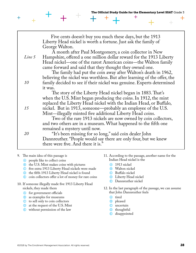|               | Five cents doesn't buy you much these days, but the 1913                                                                         |
|---------------|----------------------------------------------------------------------------------------------------------------------------------|
|               | Liberty Head nickel is worth a fortune. Just ask the family of<br>George Walton.                                                 |
|               | A month after Paul Montgomery, a coin collector in New                                                                           |
| <i>Line 5</i> | Hampshire, offered a one million dollar reward for the 1913 Liberty                                                              |
|               | Head nickel—one of the rarest American coins—the Walton family                                                                   |
|               | came forward and said that they thought they owned one.                                                                          |
|               | The family had put the coin away after Walton's death in 1962,                                                                   |
|               | believing the nickel was worthless. But after learning of the offer, the                                                         |
| 10            | family decided to see if their nickel was genuine. Experts determined<br>it was.                                                 |
|               | The story of the Liberty Head nickel began in 1883. That's                                                                       |
|               | when the U.S. Mint began producing the coins. In 1912, the mint                                                                  |
|               | replaced the Liberty Head nickel with the Indian Head, or Buffalo,                                                               |
| 15            | nickel. But in 1913, someone—probably an employee of the U.S.                                                                    |
|               | Mint—illegally minted five additional Liberty Head coins.                                                                        |
|               | Two of the rare 1913 nickels are now owned by coin collectors,<br>and two others are in a museum. What happened to the fifth one |
|               | remained a mystery until now.                                                                                                    |
| 20            | "It's been missing for so long," said coin dealer John                                                                           |
|               | Dannreuther. "People would say there are only four, but we knew                                                                  |
|               | there were five. And there it is."                                                                                               |

- 9. The main idea of this passage is
	- Ⓐ people like to collect coins
	- Ⓑ the U.S. Mint makes coins with pictures
	- Ⓒ five extra 1913 Liberty Head nickels were made
	- Ⓓ the fifth 1913 Liberty Head nickel is found
	- Ⓔ coin collectors offer a lot of money for rare coins
- 10. If someone illegally made five 1913 Liberty Head nickels, they made them
	- Ⓐ for government officials
	- Ⓑ as examples for museums
	- Ⓒ to sell only to coin collectors
	- Ⓓ at the request of the U.S. Mint
	- $\odot$  without permission of the law

11. According to the passage, another name for the Indian Head nickel is the

The Official Study Guide for the Elementary Level SSAT Grade 3

- <sup>(a)</sup> 1913 nickel<br><sup>(B)</sup> Walton nick
- Walton nickel
- C Buffalo nickel<br> **O** Liberty Head
- Ⓓ Liberty Head nickel
- Ⓔ Dannreuther nickel
- 12. In the last paragraph of the passage, we can assume that John Dannreuther feels
	- Ⓐ tired
	- Ⓑ pleased
	- Ⓒ uncertain
	- $\odot$  thoughtful
	- Ⓔ disappointed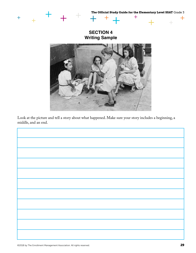

### **Section 4 Writing Sample**



Look at the picture and tell a story about what happened. Make sure your story includes a beginning, a middle, and an end.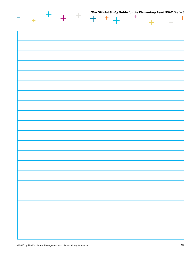|     |   |  |         | The Official Study Guide for the Elementary Level SSAT Grade 3 |             |     |  |           |
|-----|---|--|---------|----------------------------------------------------------------|-------------|-----|--|-----------|
| $+$ |   |  | $\!{+}$ | $+$                                                            | $+$ $\perp$ | $+$ |  | $\, + \,$ |
|     | ┿ |  |         |                                                                |             |     |  |           |
|     |   |  |         |                                                                |             |     |  | $\pm$     |
|     |   |  |         |                                                                |             |     |  |           |
|     |   |  |         |                                                                |             |     |  |           |
|     |   |  |         |                                                                |             |     |  |           |
|     |   |  |         |                                                                |             |     |  |           |
|     |   |  |         |                                                                |             |     |  |           |
|     |   |  |         |                                                                |             |     |  |           |
|     |   |  |         |                                                                |             |     |  |           |
|     |   |  |         |                                                                |             |     |  |           |
|     |   |  |         |                                                                |             |     |  |           |
|     |   |  |         |                                                                |             |     |  |           |
|     |   |  |         |                                                                |             |     |  |           |
|     |   |  |         |                                                                |             |     |  |           |
|     |   |  |         |                                                                |             |     |  |           |
|     |   |  |         |                                                                |             |     |  |           |
|     |   |  |         |                                                                |             |     |  |           |
|     |   |  |         |                                                                |             |     |  |           |
|     |   |  |         |                                                                |             |     |  |           |
|     |   |  |         |                                                                |             |     |  |           |
|     |   |  |         |                                                                |             |     |  |           |
|     |   |  |         |                                                                |             |     |  |           |
|     |   |  |         |                                                                |             |     |  |           |
|     |   |  |         |                                                                |             |     |  |           |
|     |   |  |         |                                                                |             |     |  |           |
|     |   |  |         |                                                                |             |     |  |           |
|     |   |  |         |                                                                |             |     |  |           |
|     |   |  |         |                                                                |             |     |  |           |
|     |   |  |         |                                                                |             |     |  |           |
|     |   |  |         |                                                                |             |     |  |           |
|     |   |  |         |                                                                |             |     |  |           |
|     |   |  |         |                                                                |             |     |  |           |
|     |   |  |         |                                                                |             |     |  |           |
|     |   |  |         |                                                                |             |     |  |           |
|     |   |  |         |                                                                |             |     |  |           |
|     |   |  |         |                                                                |             |     |  |           |
|     |   |  |         |                                                                |             |     |  |           |
|     |   |  |         |                                                                |             |     |  |           |
|     |   |  |         |                                                                |             |     |  |           |
|     |   |  |         |                                                                |             |     |  |           |
|     |   |  |         |                                                                |             |     |  |           |
|     |   |  |         |                                                                |             |     |  |           |
|     |   |  |         |                                                                |             |     |  |           |
|     |   |  |         |                                                                |             |     |  |           |
|     |   |  |         |                                                                |             |     |  |           |
|     |   |  |         |                                                                |             |     |  |           |
|     |   |  |         |                                                                |             |     |  |           |
|     |   |  |         |                                                                |             |     |  |           |
|     |   |  |         |                                                                |             |     |  |           |
|     |   |  |         |                                                                |             |     |  |           |
|     |   |  |         |                                                                |             |     |  |           |
|     |   |  |         |                                                                |             |     |  |           |
|     |   |  |         |                                                                |             |     |  |           |
|     |   |  |         |                                                                |             |     |  |           |
|     |   |  |         |                                                                |             |     |  |           |
|     |   |  |         |                                                                |             |     |  |           |
|     |   |  |         |                                                                |             |     |  |           |
|     |   |  |         |                                                                |             |     |  |           |
|     |   |  |         |                                                                |             |     |  |           |
|     |   |  |         |                                                                |             |     |  |           |
|     |   |  |         |                                                                |             |     |  |           |
|     |   |  |         |                                                                |             |     |  |           |
|     |   |  |         |                                                                |             |     |  |           |
|     |   |  |         |                                                                |             |     |  |           |
|     |   |  |         |                                                                |             |     |  |           |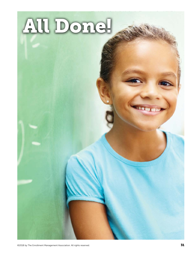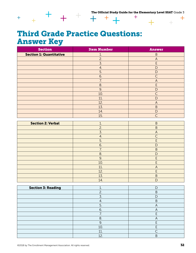

### Third Grade Practice Questions: Answer Key

 $+$ 

| <b>Section</b>                 | <b>Item Number</b> | <b>Answer</b> |
|--------------------------------|--------------------|---------------|
| <b>Section 1: Quantitative</b> |                    | $\mathsf B$   |
|                                | 2.                 | A             |
|                                | 3.                 | E             |
|                                | 4.                 | D             |
|                                | 5.                 | D             |
|                                | 6.                 | ⌒             |
|                                | 7.                 | A             |
|                                | 8.                 | E             |
|                                | 9.                 | D             |
|                                | 10.                | ┌             |
|                                | 11.                | D             |
|                                | 12.                | A             |
|                                | 13.                | B             |
|                                | 14.                | D             |
|                                | 15.                |               |

 $\ddagger$ 

| <b>Section 2: Verbal</b> |     | B                     |
|--------------------------|-----|-----------------------|
|                          | 2.  | B                     |
|                          | 3.  |                       |
|                          | 4.  |                       |
|                          | 5.  |                       |
|                          | 6.  | ┍                     |
|                          | 7.  | B                     |
|                          | 8.  |                       |
|                          | 9   |                       |
|                          | 10. |                       |
|                          | 11  | $\mathsf{\mathsf{H}}$ |
|                          | 12. |                       |
|                          | 13. | B                     |
|                          | 14. |                       |

| <b>Section 3: Reading</b> |     |   |
|---------------------------|-----|---|
|                           | ⌒   | D |
|                           |     |   |
|                           |     | ח |
|                           |     | ┌ |
|                           | O   |   |
|                           |     |   |
|                           | 8   |   |
|                           | 9   |   |
|                           | 10. |   |
|                           | 11  |   |
|                           |     |   |

 $+$ 

 $\ddot{}$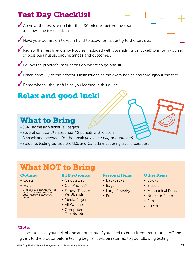### Test Day Checklist



◆ Have your admission ticket in hand to allow for fast entry to the test site.

Review the Test Irregularity Policies (included with your admission ticket) to inform yourself of possible unusual circumstances and outcomes.

◆ Follow the proctor's instructions on where to go and sit.

◆ Listen carefully to the proctor's instructions as the exam begins and throughout the test.

◆ Remember all the useful tips you learned in this guide.

### Relax and good luck!

### What to Bring

- SSAT admission ticket (all pages)
- • Several *(at least 3)* sharpened #2 pencils with erasers
- • A snack and beverage for the break *(in a clear bag or container)*
- Students testing outside the U.S. and Canada must bring a valid passport

### What NOT to Bring

#### Clothing

- • Coats
- Hats

*Hooded sweatshirts may be worn; however, the hood must remain down at all times.*

#### All Electronics

- Calculators
- Cell Phones\*
- Fitness Tracker **Wristbands**
- Media Players
- All Watches
- Computers,
	- Tablets, etc.

#### Personal Items

- Backpacks
- • Bags
- Large Jewelry
- Purses

#### Other Items

- Books
- Frasers
- Mechanical Pencils
- Notes or Paper
- • Pens
- Rulers

#### \*Note:

It's best to leave your cell phone at home, but if you need to bring it, you must turn it off and give it to the proctor before testing begins. It will be returned to you following testing.